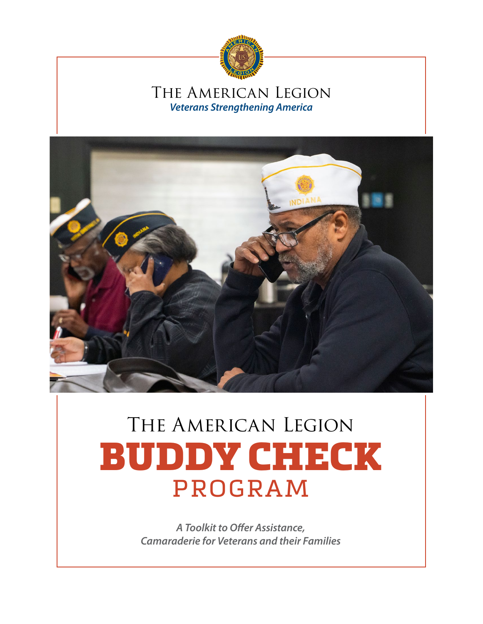

# The American Legion *Veterans Strengthening America*



# THE AMERICAN LEGION BUDDY CHECK PROGRAM

*A Toolkit to Offer Assistance, Camaraderie for Veterans and their Families*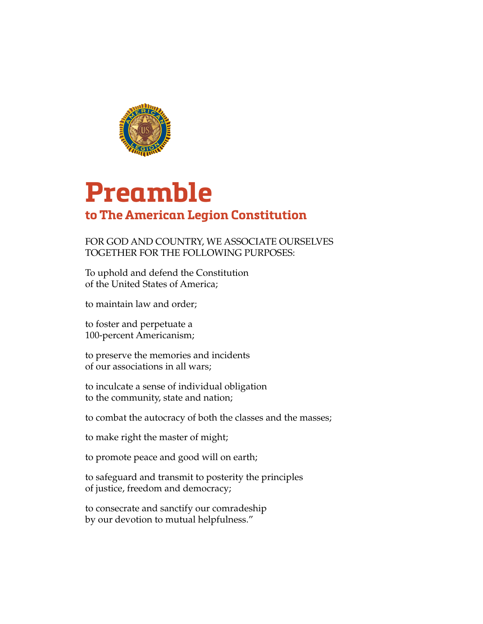

# **Preamble to The American Legion Constitution**

# FOR GOD AND COUNTRY, WE ASSOCIATE OURSELVES TOGETHER FOR THE FOLLOWING PURPOSES:

To uphold and defend the Constitution of the United States of America;

to maintain law and order;

to foster and perpetuate a 100-percent Americanism;

to preserve the memories and incidents of our associations in all wars;

to inculcate a sense of individual obligation to the community, state and nation;

to combat the autocracy of both the classes and the masses;

to make right the master of might;

to promote peace and good will on earth;

to safeguard and transmit to posterity the principles of justice, freedom and democracy;

to consecrate and sanctify our comradeship by our devotion to mutual helpfulness."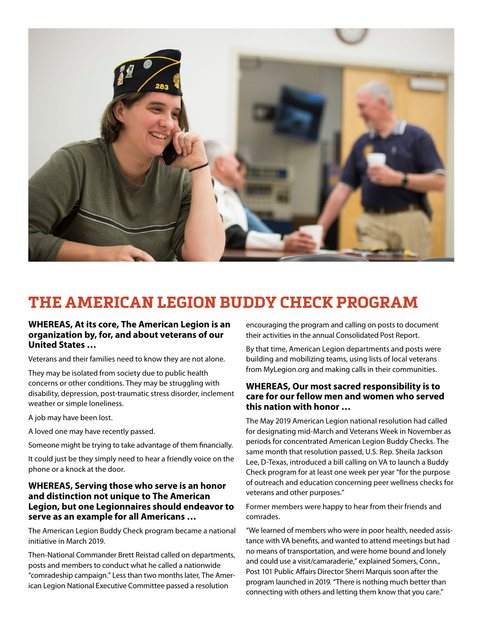

# **THE AMERICAN LEGION BUDDY CHECK PROGRAM**

### **WHEREAS, At its core, The American Legion is an organization by, for, and about veterans of our United States …**

Veterans and their families need to know they are not alone.

They may be isolated from society due to public health concerns or other conditions. They may be struggling with disability, depression, post-traumatic stress disorder, inclement weather or simple loneliness.

A job may have been lost.

A loved one may have recently passed.

Someone might be trying to take advantage of them financially.

It could just be they simply need to hear a friendly voice on the phone or a knock at the door.

### **WHEREAS, Serving those who serve is an honor and distinction not unique to The American Legion, but one Legionnaires should endeavor to serve as an example for all Americans …**

The American Legion Buddy Check program became a national initiative in March 2019.

Then-National Commander Brett Reistad called on departments, posts and members to conduct what he called a nationwide "comradeship campaign." Less than two months later, The American Legion National Executive Committee passed a resolution

encouraging the program and calling on posts to document their activities in the annual Consolidated Post Report.

By that time, American Legion departments and posts were building and mobilizing teams, using lists of local veterans from MyLegion.org and making calls in their communities.

### **WHEREAS, Our most sacred responsibility is to care for our fellow men and women who served this nation with honor …**

The May 2019 American Legion national resolution had called for designating mid-March and Veterans Week in November as periods for concentrated American Legion Buddy Checks. The same month that resolution passed, U.S. Rep. Sheila Jackson Lee, D-Texas, introduced a bill calling on VA to launch a Buddy Check program for at least one week per year "for the purpose of outreach and education concerning peer wellness checks for veterans and other purposes."

Former members were happy to hear from their friends and comrades.

"We learned of members who were in poor health, needed assistance with VA benefits, and wanted to attend meetings but had no means of transportation, and were home bound and lonely and could use a visit/camaraderie," explained Somers, Conn., Post 101 Public Affairs Director Sherri Marquis soon after the program launched in 2019. "There is nothing much better than connecting with others and letting them know that you care."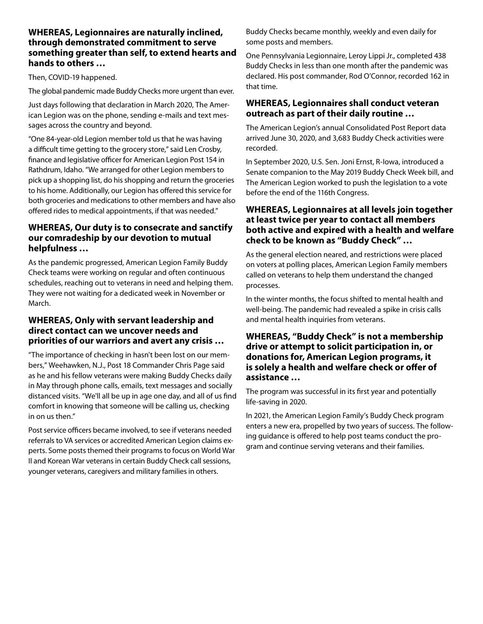### **WHEREAS, Legionnaires are naturally inclined, through demonstrated commitment to serve something greater than self, to extend hearts and hands to others …**

Then, COVID-19 happened.

The global pandemic made Buddy Checks more urgent than ever.

Just days following that declaration in March 2020, The American Legion was on the phone, sending e-mails and text messages across the country and beyond.

"One 84-year-old Legion member told us that he was having a difficult time getting to the grocery store," said Len Crosby, finance and legislative officer for American Legion Post 154 in Rathdrum, Idaho. "We arranged for other Legion members to pick up a shopping list, do his shopping and return the groceries to his home. Additionally, our Legion has offered this service for both groceries and medications to other members and have also offered rides to medical appointments, if that was needed."

## **WHEREAS, Our duty is to consecrate and sanctify our comradeship by our devotion to mutual helpfulness …**

As the pandemic progressed, American Legion Family Buddy Check teams were working on regular and often continuous schedules, reaching out to veterans in need and helping them. They were not waiting for a dedicated week in November or March.

### **WHEREAS, Only with servant leadership and direct contact can we uncover needs and priorities of our warriors and avert any crisis …**

"The importance of checking in hasn't been lost on our members," Weehawken, N.J., Post 18 Commander Chris Page said as he and his fellow veterans were making Buddy Checks daily in May through phone calls, emails, text messages and socially distanced visits. "We'll all be up in age one day, and all of us find comfort in knowing that someone will be calling us, checking in on us then."

Post service officers became involved, to see if veterans needed referrals to VA services or accredited American Legion claims experts. Some posts themed their programs to focus on World War II and Korean War veterans in certain Buddy Check call sessions, younger veterans, caregivers and military families in others.

Buddy Checks became monthly, weekly and even daily for some posts and members.

One Pennsylvania Legionnaire, Leroy Lippi Jr., completed 438 Buddy Checks in less than one month after the pandemic was declared. His post commander, Rod O'Connor, recorded 162 in that time.

### **WHEREAS, Legionnaires shall conduct veteran outreach as part of their daily routine …**

The American Legion's annual Consolidated Post Report data arrived June 30, 2020, and 3,683 Buddy Check activities were recorded.

In September 2020, U.S. Sen. Joni Ernst, R-Iowa, introduced a Senate companion to the May 2019 Buddy Check Week bill, and The American Legion worked to push the legislation to a vote before the end of the 116th Congress.

## **WHEREAS, Legionnaires at all levels join together at least twice per year to contact all members both active and expired with a health and welfare check to be known as "Buddy Check" …**

As the general election neared, and restrictions were placed on voters at polling places, American Legion Family members called on veterans to help them understand the changed processes.

In the winter months, the focus shifted to mental health and well-being. The pandemic had revealed a spike in crisis calls and mental health inquiries from veterans.

## **WHEREAS, "Buddy Check" is not a membership drive or attempt to solicit participation in, or donations for, American Legion programs, it is solely a health and welfare check or offer of assistance …**

The program was successful in its first year and potentially life-saving in 2020.

In 2021, the American Legion Family's Buddy Check program enters a new era, propelled by two years of success. The following guidance is offered to help post teams conduct the program and continue serving veterans and their families.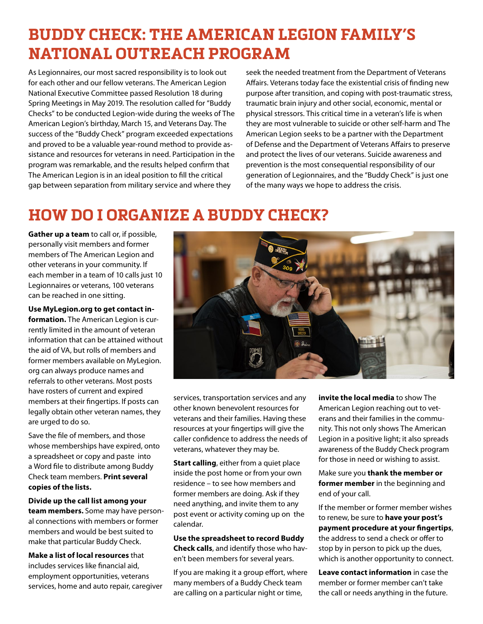# **BUDDY CHECK: THE AMERICAN LEGION FAMILY'S NATIONAL OUTREACH PROGRAM**

As Legionnaires, our most sacred responsibility is to look out for each other and our fellow veterans. The American Legion National Executive Committee passed Resolution 18 during Spring Meetings in May 2019. The resolution called for "Buddy Checks" to be conducted Legion-wide during the weeks of The American Legion's birthday, March 15, and Veterans Day. The success of the "Buddy Check" program exceeded expectations and proved to be a valuable year-round method to provide assistance and resources for veterans in need. Participation in the program was remarkable, and the results helped confirm that The American Legion is in an ideal position to fill the critical gap between separation from military service and where they

seek the needed treatment from the Department of Veterans Affairs. Veterans today face the existential crisis of finding new purpose after transition, and coping with post-traumatic stress, traumatic brain injury and other social, economic, mental or physical stressors. This critical time in a veteran's life is when they are most vulnerable to suicide or other self-harm and The American Legion seeks to be a partner with the Department of Defense and the Department of Veterans Affairs to preserve and protect the lives of our veterans. Suicide awareness and prevention is the most consequential responsibility of our generation of Legionnaires, and the "Buddy Check" is just one of the many ways we hope to address the crisis.

# **HOW DO I ORGANIZE A BUDDY CHECK?**

**Gather up a team** to call or, if possible, personally visit members and former members of The American Legion and other veterans in your community. If each member in a team of 10 calls just 10 Legionnaires or veterans, 100 veterans can be reached in one sitting.

**Use MyLegion.org to get contact information.** The American Legion is currently limited in the amount of veteran information that can be attained without the aid of VA, but rolls of members and former members available on MyLegion. org can always produce names and referrals to other veterans. Most posts have rosters of current and expired members at their fingertips. If posts can legally obtain other veteran names, they are urged to do so.

Save the file of members, and those whose memberships have expired, onto a spreadsheet or copy and paste into a Word file to distribute among Buddy Check team members. **Print several copies of the lists.**

**Divide up the call list among your team members.** Some may have personal connections with members or former members and would be best suited to make that particular Buddy Check.

**Make a list of local resources** that includes services like financial aid, employment opportunities, veterans services, home and auto repair, caregiver



services, transportation services and any other known benevolent resources for veterans and their families. Having these resources at your fingertips will give the caller confidence to address the needs of veterans, whatever they may be.

**Start calling**, either from a quiet place inside the post home or from your own residence – to see how members and former members are doing. Ask if they need anything, and invite them to any post event or activity coming up on the calendar.

**Use the spreadsheet to record Buddy Check calls**, and identify those who haven't been members for several years.

If you are making it a group effort, where many members of a Buddy Check team are calling on a particular night or time,

**invite the local media** to show The American Legion reaching out to veterans and their families in the community. This not only shows The American Legion in a positive light; it also spreads awareness of the Buddy Check program for those in need or wishing to assist.

Make sure you **thank the member or former member** in the beginning and end of your call.

If the member or former member wishes to renew, be sure to **have your post's payment procedure at your fingertips**, the address to send a check or offer to stop by in person to pick up the dues, which is another opportunity to connect.

**Leave contact information** in case the member or former member can't take the call or needs anything in the future.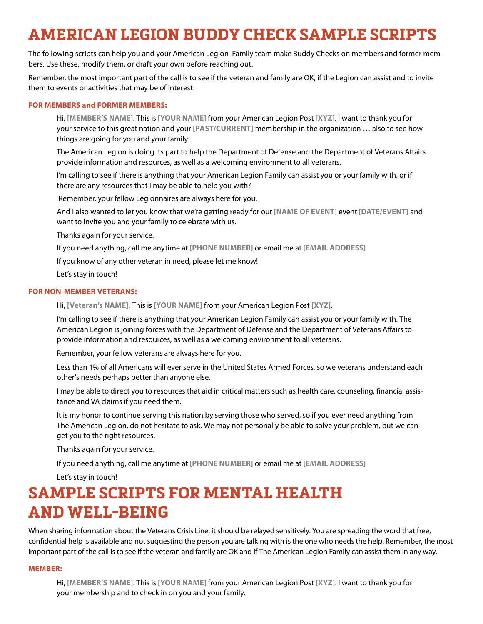# **AMERICAN LEGION BUDDY CHECK SAMPLE SCRIPTS**

The following scripts can help you and your American Legion Family team make Buddy Checks on members and former members. Use these, modify them, or draft your own before reaching out.

Remember, the most important part of the call is to see if the veteran and family are OK, if the Legion can assist and to invite them to events or activities that may be of interest.

#### **FOR MEMBERS and FORMER MEMBERS:**

Hi, **[MEMBER'S NAME]**. This is **[YOUR NAME]** from your American Legion Post **[XYZ]**. I want to thank you for your service to this great nation and your **[PAST/CURRENT]** membership in the organization … also to see how things are going for you and your family.

The American Legion is doing its part to help the Department of Defense and the Department of Veterans Affairs provide information and resources, as well as a welcoming environment to all veterans.

I'm calling to see if there is anything that your American Legion Family can assist you or your family with, or if there are any resources that I may be able to help you with?

Remember, your fellow Legionnaires are always here for you.

And I also wanted to let you know that we're getting ready for our **[NAME OF EVENT]** event **[DATE/EVENT]** and want to invite you and your family to celebrate with us.

Thanks again for your service.

If you need anything, call me anytime at **[PHONE NUMBER]** or email me at **[EMAIL ADDRESS]**

If you know of any other veteran in need, please let me know!

Let's stay in touch!

#### **FOR NON-MEMBER VETERANS:**

Hi, **[Veteran's NAME].** This is **[YOUR NAME]** from your American Legion Post **[XYZ]**.

I'm calling to see if there is anything that your American Legion Family can assist you or your family with. The American Legion is joining forces with the Department of Defense and the Department of Veterans Affairs to provide information and resources, as well as a welcoming environment to all veterans.

Remember, your fellow veterans are always here for you.

Less than 1% of all Americans will ever serve in the United States Armed Forces, so we veterans understand each other's needs perhaps better than anyone else.

I may be able to direct you to resources that aid in critical matters such as health care, counseling, financial assistance and VA claims if you need them.

It is my honor to continue serving this nation by serving those who served, so if you ever need anything from The American Legion, do not hesitate to ask. We may not personally be able to solve your problem, but we can get you to the right resources.

Thanks again for your service.

If you need anything, call me anytime at **[PHONE NUMBER]** or email me at **[EMAIL ADDRESS]**

Let's stay in touch!

# **SAMPLE SCRIPTS FOR MENTAL HEALTH AND WELL-BEING**

When sharing information about the Veterans Crisis Line, it should be relayed sensitively. You are spreading the word that free, confidential help is available and not suggesting the person you are talking with is the one who needs the help. Remember, the most important part of the call is to see if the veteran and family are OK and if The American Legion Family can assist them in any way.

#### **MEMBER:**

Hi, **[MEMBER'S NAME]**. This is **[YOUR NAME]** from your American Legion Post **[XYZ]**. I want to thank you for your membership and to check in on you and your family.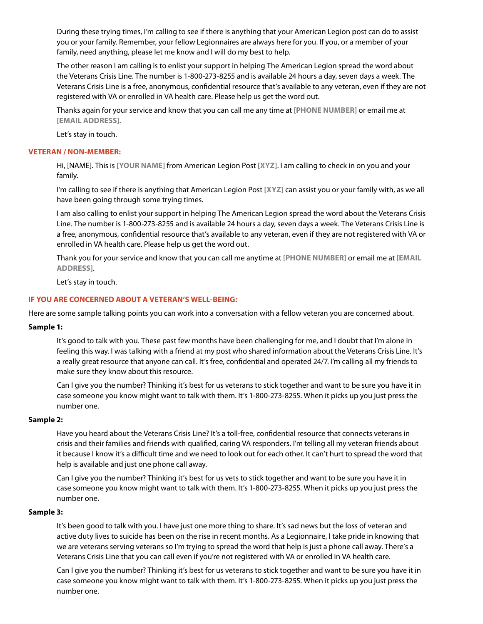During these trying times, I'm calling to see if there is anything that your American Legion post can do to assist you or your family. Remember, your fellow Legionnaires are always here for you. If you, or a member of your family, need anything, please let me know and I will do my best to help.

The other reason I am calling is to enlist your support in helping The American Legion spread the word about the Veterans Crisis Line. The number is 1-800-273-8255 and is available 24 hours a day, seven days a week. The Veterans Crisis Line is a free, anonymous, confidential resource that's available to any veteran, even if they are not registered with VA or enrolled in VA health care. Please help us get the word out.

Thanks again for your service and know that you can call me any time at **[PHONE NUMBER]** or email me at **[EMAIL ADDRESS]**.

Let's stay in touch.

#### **VETERAN / NON-MEMBER:**

Hi, [NAME]. This is **[YOUR NAME]** from American Legion Post **[XYZ]**. I am calling to check in on you and your family.

I'm calling to see if there is anything that American Legion Post **[XYZ]** can assist you or your family with, as we all have been going through some trying times.

I am also calling to enlist your support in helping The American Legion spread the word about the Veterans Crisis Line. The number is 1-800-273-8255 and is available 24 hours a day, seven days a week. The Veterans Crisis Line is a free, anonymous, confidential resource that's available to any veteran, even if they are not registered with VA or enrolled in VA health care. Please help us get the word out.

Thank you for your service and know that you can call me anytime at **[PHONE NUMBER]** or email me at **[EMAIL ADDRESS]**.

Let's stay in touch.

#### **IF YOU ARE CONCERNED ABOUT A VETERAN'S WELL-BEING:**

Here are some sample talking points you can work into a conversation with a fellow veteran you are concerned about.

#### **Sample 1:**

It's good to talk with you. These past few months have been challenging for me, and I doubt that I'm alone in feeling this way. I was talking with a friend at my post who shared information about the Veterans Crisis Line. It's a really great resource that anyone can call. It's free, confidential and operated 24/7. I'm calling all my friends to make sure they know about this resource.

Can I give you the number? Thinking it's best for us veterans to stick together and want to be sure you have it in case someone you know might want to talk with them. It's 1-800-273-8255. When it picks up you just press the number one.

#### **Sample 2:**

Have you heard about the Veterans Crisis Line? It's a toll-free, confidential resource that connects veterans in crisis and their families and friends with qualified, caring VA responders. I'm telling all my veteran friends about it because I know it's a difficult time and we need to look out for each other. It can't hurt to spread the word that help is available and just one phone call away.

Can I give you the number? Thinking it's best for us vets to stick together and want to be sure you have it in case someone you know might want to talk with them. It's 1-800-273-8255. When it picks up you just press the number one.

#### **Sample 3:**

It's been good to talk with you. I have just one more thing to share. It's sad news but the loss of veteran and active duty lives to suicide has been on the rise in recent months. As a Legionnaire, I take pride in knowing that we are veterans serving veterans so I'm trying to spread the word that help is just a phone call away. There's a Veterans Crisis Line that you can call even if you're not registered with VA or enrolled in VA health care.

Can I give you the number? Thinking it's best for us veterans to stick together and want to be sure you have it in case someone you know might want to talk with them. It's 1-800-273-8255. When it picks up you just press the number one.